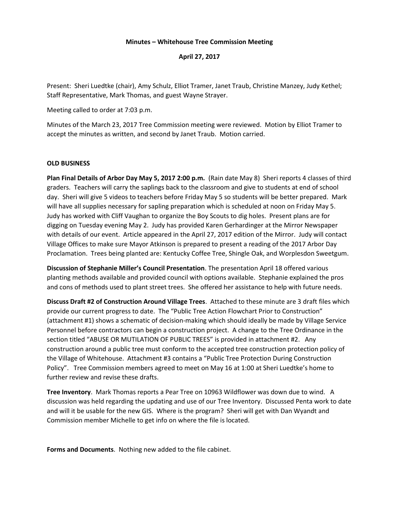#### **Minutes – Whitehouse Tree Commission Meeting**

**April 27, 2017**

Present: Sheri Luedtke (chair), Amy Schulz, Elliot Tramer, Janet Traub, Christine Manzey, Judy Kethel; Staff Representative, Mark Thomas, and guest Wayne Strayer.

Meeting called to order at 7:03 p.m.

Minutes of the March 23, 2017 Tree Commission meeting were reviewed. Motion by Elliot Tramer to accept the minutes as written, and second by Janet Traub. Motion carried.

#### **OLD BUSINESS**

**Plan Final Details of Arbor Day May 5, 2017 2:00 p.m.** (Rain date May 8) Sheri reports 4 classes of third graders. Teachers will carry the saplings back to the classroom and give to students at end of school day. Sheri will give 5 videos to teachers before Friday May 5 so students will be better prepared. Mark will have all supplies necessary for sapling preparation which is scheduled at noon on Friday May 5. Judy has worked with Cliff Vaughan to organize the Boy Scouts to dig holes. Present plans are for digging on Tuesday evening May 2. Judy has provided Karen Gerhardinger at the Mirror Newspaper with details of our event. Article appeared in the April 27, 2017 edition of the Mirror. Judy will contact Village Offices to make sure Mayor Atkinson is prepared to present a reading of the 2017 Arbor Day Proclamation. Trees being planted are: Kentucky Coffee Tree, Shingle Oak, and Worplesdon Sweetgum.

**Discussion of Stephanie Miller's Council Presentation**. The presentation April 18 offered various planting methods available and provided council with options available. Stephanie explained the pros and cons of methods used to plant street trees. She offered her assistance to help with future needs.

**Discuss Draft #2 of Construction Around Village Trees**. Attached to these minute are 3 draft files which provide our current progress to date. The "Public Tree Action Flowchart Prior to Construction" (attachment #1) shows a schematic of decision-making which should ideally be made by Village Service Personnel before contractors can begin a construction project. A change to the Tree Ordinance in the section titled "ABUSE OR MUTILATION OF PUBLIC TREES" is provided in attachment #2. Any construction around a public tree must conform to the accepted tree construction protection policy of the Village of Whitehouse. Attachment #3 contains a "Public Tree Protection During Construction Policy". Tree Commission members agreed to meet on May 16 at 1:00 at Sheri Luedtke's home to further review and revise these drafts.

**Tree Inventory**. Mark Thomas reports a Pear Tree on 10963 Wildflower was down due to wind. A discussion was held regarding the updating and use of our Tree Inventory. Discussed Penta work to date and will it be usable for the new GIS. Where is the program? Sheri will get with Dan Wyandt and Commission member Michelle to get info on where the file is located.

**Forms and Documents**. Nothing new added to the file cabinet.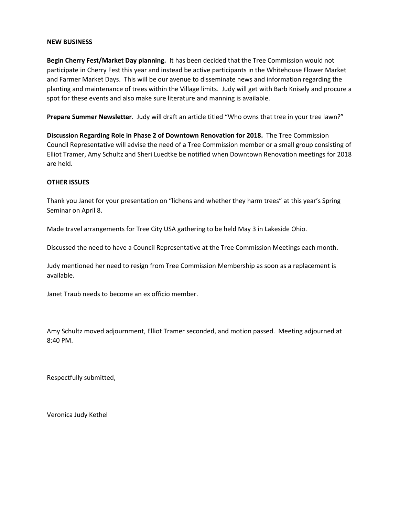#### **NEW BUSINESS**

**Begin Cherry Fest/Market Day planning.** It has been decided that the Tree Commission would not participate in Cherry Fest this year and instead be active participants in the Whitehouse Flower Market and Farmer Market Days. This will be our avenue to disseminate news and information regarding the planting and maintenance of trees within the Village limits. Judy will get with Barb Knisely and procure a spot for these events and also make sure literature and manning is available.

**Prepare Summer Newsletter**. Judy will draft an article titled "Who owns that tree in your tree lawn?"

**Discussion Regarding Role in Phase 2 of Downtown Renovation for 2018.** The Tree Commission Council Representative will advise the need of a Tree Commission member or a small group consisting of Elliot Tramer, Amy Schultz and Sheri Luedtke be notified when Downtown Renovation meetings for 2018 are held.

#### **OTHER ISSUES**

Thank you Janet for your presentation on "lichens and whether they harm trees" at this year's Spring Seminar on April 8.

Made travel arrangements for Tree City USA gathering to be held May 3 in Lakeside Ohio.

Discussed the need to have a Council Representative at the Tree Commission Meetings each month.

Judy mentioned her need to resign from Tree Commission Membership as soon as a replacement is available.

Janet Traub needs to become an ex officio member.

Amy Schultz moved adjournment, Elliot Tramer seconded, and motion passed. Meeting adjourned at 8:40 PM.

Respectfully submitted,

Veronica Judy Kethel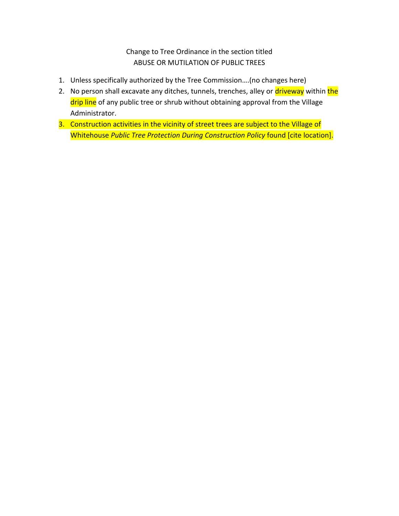Change to Tree Ordinance in the section titled ABUSE OR MUTILATION OF PUBLIC TREES

- 1. Unless specifically authorized by the Tree Commission….(no changes here)
- 2. No person shall excavate any ditches, tunnels, trenches, alley or driveway within the drip line of any public tree or shrub without obtaining approval from the Village Administrator.
- 3. Construction activities in the vicinity of street trees are subject to the Village of Whitehouse *Public Tree Protection During Construction Policy* found [cite location].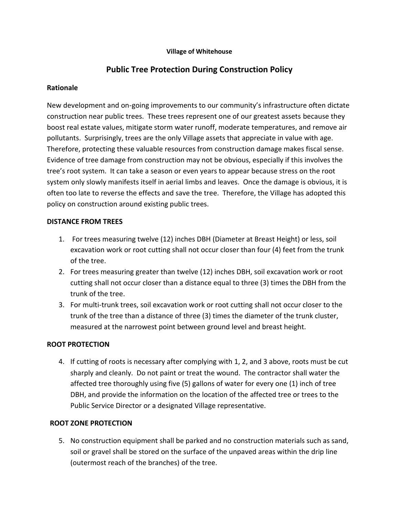### **Village of Whitehouse**

# **Public Tree Protection During Construction Policy**

### **Rationale**

New development and on-going improvements to our community's infrastructure often dictate construction near public trees. These trees represent one of our greatest assets because they boost real estate values, mitigate storm water runoff, moderate temperatures, and remove air pollutants. Surprisingly, trees are the only Village assets that appreciate in value with age. Therefore, protecting these valuable resources from construction damage makes fiscal sense. Evidence of tree damage from construction may not be obvious, especially if this involves the tree's root system. It can take a season or even years to appear because stress on the root system only slowly manifests itself in aerial limbs and leaves. Once the damage is obvious, it is often too late to reverse the effects and save the tree. Therefore, the Village has adopted this policy on construction around existing public trees.

### **DISTANCE FROM TREES**

- 1. For trees measuring twelve (12) inches DBH (Diameter at Breast Height) or less, soil excavation work or root cutting shall not occur closer than four (4) feet from the trunk of the tree.
- 2. For trees measuring greater than twelve (12) inches DBH, soil excavation work or root cutting shall not occur closer than a distance equal to three (3) times the DBH from the trunk of the tree.
- 3. For multi-trunk trees, soil excavation work or root cutting shall not occur closer to the trunk of the tree than a distance of three (3) times the diameter of the trunk cluster, measured at the narrowest point between ground level and breast height.

# **ROOT PROTECTION**

4. If cutting of roots is necessary after complying with 1, 2, and 3 above, roots must be cut sharply and cleanly. Do not paint or treat the wound. The contractor shall water the affected tree thoroughly using five (5) gallons of water for every one (1) inch of tree DBH, and provide the information on the location of the affected tree or trees to the Public Service Director or a designated Village representative.

# **ROOT ZONE PROTECTION**

5. No construction equipment shall be parked and no construction materials such as sand, soil or gravel shall be stored on the surface of the unpaved areas within the drip line (outermost reach of the branches) of the tree.